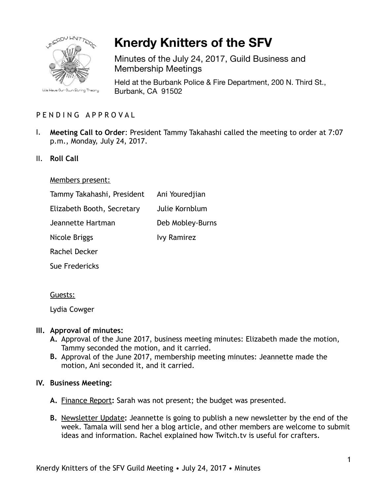

# **Knerdy Knitters of the SFV**

Minutes of the July 24, 2017, Guild Business and Membership Meetings

Held at the Burbank Police & Fire Department, 200 N. Third St., Burbank, CA 91502

# PENDING APPROVAL

- I. **Meeting Call to Order**: President Tammy Takahashi called the meeting to order at 7:07 p.m., Monday, July 24, 2017.
- II. **Roll Call**

#### Members present:

| Tammy Takahashi, President | Ani Youredjian     |
|----------------------------|--------------------|
| Elizabeth Booth, Secretary | Julie Kornblum     |
| Jeannette Hartman          | Deb Mobley-Burns   |
| Nicole Briggs              | <b>Ivy Ramirez</b> |
| Rachel Decker              |                    |
| Sue Fredericks             |                    |

#### Guests:

Lydia Cowger

## **III. Approval of minutes:**

- **A.** Approval of the June 2017, business meeting minutes: Elizabeth made the motion, Tammy seconded the motion, and it carried.
- **B.** Approval of the June 2017, membership meeting minutes: Jeannette made the motion, Ani seconded it, and it carried.

## **IV. Business Meeting:**

- **A.** Finance Report**:** Sarah was not present; the budget was presented.
- **B.** Newsletter Update**:** Jeannette is going to publish a new newsletter by the end of the week. Tamala will send her a blog article, and other members are welcome to submit ideas and information. Rachel explained how Twitch.tv is useful for crafters.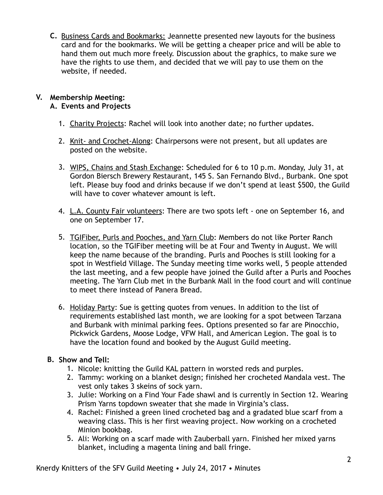**C.** Business Cards and Bookmarks: Jeannette presented new layouts for the business card and for the bookmarks. We will be getting a cheaper price and will be able to hand them out much more freely. Discussion about the graphics, to make sure we have the rights to use them, and decided that we will pay to use them on the website, if needed.

#### **V. Membership Meeting: A. Events and Projects**

- 1. Charity Projects: Rachel will look into another date; no further updates.
- 2. Knit- and Crochet-Along: Chairpersons were not present, but all updates are posted on the website.
- 3. WIPS, Chains and Stash Exchange: Scheduled for 6 to 10 p.m. Monday, July 31, at Gordon Biersch Brewery Restaurant, 145 S. San Fernando Blvd., Burbank. One spot left. Please buy food and drinks because if we don't spend at least \$500, the Guild will have to cover whatever amount is left.
- 4. L.A. County Fair volunteers: There are two spots left one on September 16, and one on September 17.
- 5. TGIFiber, Purls and Pooches, and Yarn Club: Members do not like Porter Ranch location, so the TGIFiber meeting will be at Four and Twenty in August. We will keep the name because of the branding. Purls and Pooches is still looking for a spot in Westfield Village. The Sunday meeting time works well, 5 people attended the last meeting, and a few people have joined the Guild after a Purls and Pooches meeting. The Yarn Club met in the Burbank Mall in the food court and will continue to meet there instead of Panera Bread.
- 6. Holiday Party: Sue is getting quotes from venues. In addition to the list of requirements established last month, we are looking for a spot between Tarzana and Burbank with minimal parking fees. Options presented so far are Pinocchio, Pickwick Gardens, Moose Lodge, VFW Hall, and American Legion. The goal is to have the location found and booked by the August Guild meeting.

# **B. Show and Tell:**

- 1. Nicole: knitting the Guild KAL pattern in worsted reds and purples.
- 2. Tammy: working on a blanket design; finished her crocheted Mandala vest. The vest only takes 3 skeins of sock yarn.
- 3. Julie: Working on a Find Your Fade shawl and is currently in Section 12. Wearing Prism Yarns topdown sweater that she made in Virginia's class.
- 4. Rachel: Finished a green lined crocheted bag and a gradated blue scarf from a weaving class. This is her first weaving project. Now working on a crocheted Minion bookbag.
- 5. Ali: Working on a scarf made with Zauberball yarn. Finished her mixed yarns blanket, including a magenta lining and ball fringe.